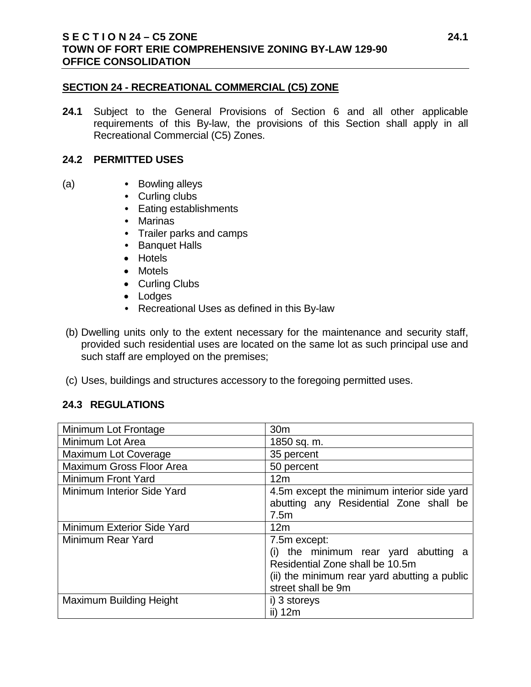#### **SECTION 24 - RECREATIONAL COMMERCIAL (C5) ZONE**

**24.1** Subject to the General Provisions of Section 6 and all other applicable requirements of this By-law, the provisions of this Section shall apply in all Recreational Commercial (C5) Zones.

#### **24.2 PERMITTED USES**

- (a) **•** Bowling alleys
	- **•** Curling clubs
	- **•** Eating establishments
	- **•** Marinas
	- **•** Trailer parks and camps
	- **•** Banquet Halls
	- Hotels
	- Motels
	- Curling Clubs
	- Lodges
	- **•** Recreational Uses as defined in this By-law
- (b) Dwelling units only to the extent necessary for the maintenance and security staff, provided such residential uses are located on the same lot as such principal use and such staff are employed on the premises;
- (c) Uses, buildings and structures accessory to the foregoing permitted uses.

# **24.3 REGULATIONS**

| Minimum Lot Frontage           | 30 <sub>m</sub>                                                                                                                                           |
|--------------------------------|-----------------------------------------------------------------------------------------------------------------------------------------------------------|
| Minimum Lot Area               | 1850 sq. m.                                                                                                                                               |
| <b>Maximum Lot Coverage</b>    | 35 percent                                                                                                                                                |
| Maximum Gross Floor Area       | 50 percent                                                                                                                                                |
| Minimum Front Yard             | 12m                                                                                                                                                       |
| Minimum Interior Side Yard     | 4.5m except the minimum interior side yard<br>abutting any Residential Zone shall be<br>7.5m                                                              |
| Minimum Exterior Side Yard     | 12m                                                                                                                                                       |
| Minimum Rear Yard              | 7.5m except:<br>the minimum rear yard abutting a<br>Residential Zone shall be 10.5m<br>(ii) the minimum rear yard abutting a public<br>street shall be 9m |
| <b>Maximum Building Height</b> | i) 3 storeys<br>ii) 12m                                                                                                                                   |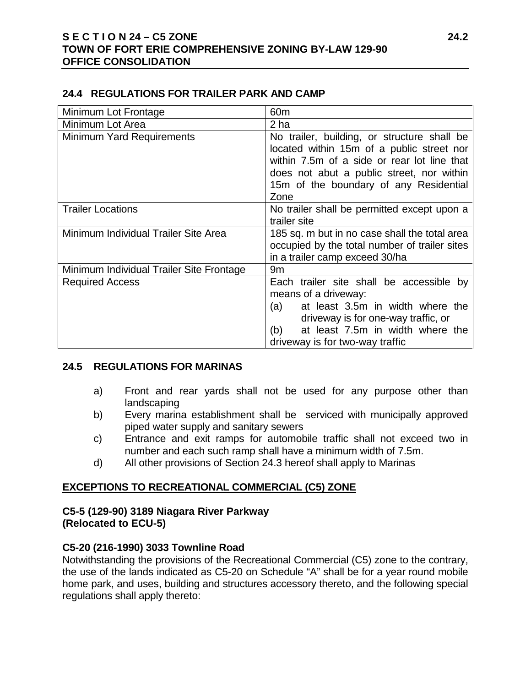# **S E C T I O N 24 – C5 ZONE 24.2 TOWN OF FORT ERIE COMPREHENSIVE ZONING BY-LAW 129-90 OFFICE CONSOLIDATION**

#### **24.4 REGULATIONS FOR TRAILER PARK AND CAMP**

| Minimum Lot Frontage                     | 60 <sub>m</sub>                                                                                                                                                                                                                        |
|------------------------------------------|----------------------------------------------------------------------------------------------------------------------------------------------------------------------------------------------------------------------------------------|
| Minimum Lot Area                         | 2 ha                                                                                                                                                                                                                                   |
| <b>Minimum Yard Requirements</b>         | No trailer, building, or structure shall be<br>located within 15m of a public street nor<br>within 7.5m of a side or rear lot line that<br>does not abut a public street, nor within<br>15m of the boundary of any Residential<br>Zone |
| <b>Trailer Locations</b>                 | No trailer shall be permitted except upon a<br>trailer site                                                                                                                                                                            |
| Minimum Individual Trailer Site Area     | 185 sq. m but in no case shall the total area<br>occupied by the total number of trailer sites<br>in a trailer camp exceed 30/ha                                                                                                       |
| Minimum Individual Trailer Site Frontage | 9 <sub>m</sub>                                                                                                                                                                                                                         |
| <b>Required Access</b>                   | Each trailer site shall be accessible by<br>means of a driveway:<br>at least 3.5m in width where the<br>(a)<br>driveway is for one-way traffic, or<br>at least 7.5m in width where the<br>(b)<br>driveway is for two-way traffic       |

#### **24.5 REGULATIONS FOR MARINAS**

- a) Front and rear yards shall not be used for any purpose other than landscaping
- b) Every marina establishment shall be serviced with municipally approved piped water supply and sanitary sewers
- c) Entrance and exit ramps for automobile traffic shall not exceed two in number and each such ramp shall have a minimum width of 7.5m.
- d) All other provisions of Section 24.3 hereof shall apply to Marinas

# **EXCEPTIONS TO RECREATIONAL COMMERCIAL (C5) ZONE**

# **C5-5 (129-90) 3189 Niagara River Parkway (Relocated to ECU-5)**

# **C5-20 (216-1990) 3033 Townline Road**

Notwithstanding the provisions of the Recreational Commercial (C5) zone to the contrary, the use of the lands indicated as C5-20 on Schedule "A" shall be for a year round mobile home park, and uses, building and structures accessory thereto, and the following special regulations shall apply thereto: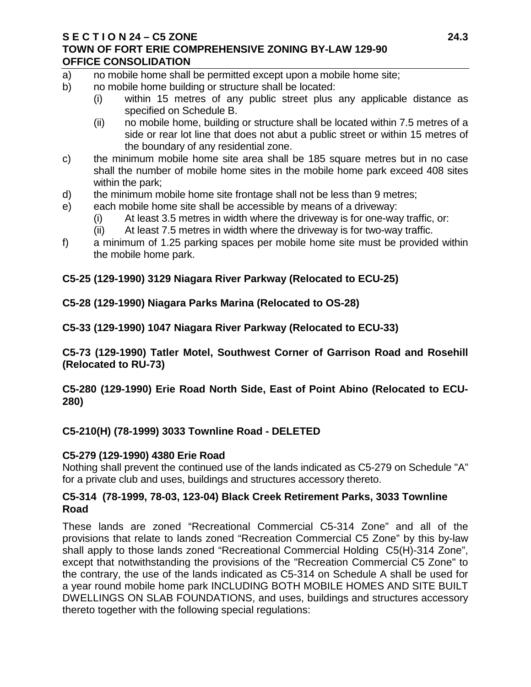#### **S E C T I O N 24 – C5 ZONE 24.3 TOWN OF FORT ERIE COMPREHENSIVE ZONING BY-LAW 129-90 OFFICE CONSOLIDATION**

- a) no mobile home shall be permitted except upon a mobile home site;
- b) no mobile home building or structure shall be located:
	- (i) within 15 metres of any public street plus any applicable distance as specified on Schedule B.
	- (ii) no mobile home, building or structure shall be located within 7.5 metres of a side or rear lot line that does not abut a public street or within 15 metres of the boundary of any residential zone.
- c) the minimum mobile home site area shall be 185 square metres but in no case shall the number of mobile home sites in the mobile home park exceed 408 sites within the park;
- d) the minimum mobile home site frontage shall not be less than 9 metres;
- e) each mobile home site shall be accessible by means of a driveway:
	- (i) At least 3.5 metres in width where the driveway is for one-way traffic, or:
	- (ii) At least 7.5 metres in width where the driveway is for two-way traffic.
- f) a minimum of 1.25 parking spaces per mobile home site must be provided within the mobile home park.

# **C5-25 (129-1990) 3129 Niagara River Parkway (Relocated to ECU-25)**

**C5-28 (129-1990) Niagara Parks Marina (Relocated to OS-28)**

**C5-33 (129-1990) 1047 Niagara River Parkway (Relocated to ECU-33)**

**C5-73 (129-1990) Tatler Motel, Southwest Corner of Garrison Road and Rosehill (Relocated to RU-73)**

**C5-280 (129-1990) Erie Road North Side, East of Point Abino (Relocated to ECU-280)**

**C5-210(H) (78-1999) 3033 Townline Road - DELETED**

# **C5-279 (129-1990) 4380 Erie Road**

Nothing shall prevent the continued use of the lands indicated as C5-279 on Schedule "A" for a private club and uses, buildings and structures accessory thereto.

# **C5-314 (78-1999, 78-03, 123-04) Black Creek Retirement Parks, 3033 Townline Road**

These lands are zoned "Recreational Commercial C5-314 Zone" and all of the provisions that relate to lands zoned "Recreation Commercial C5 Zone" by this by-law shall apply to those lands zoned "Recreational Commercial Holding C5(H)-314 Zone", except that notwithstanding the provisions of the "Recreation Commercial C5 Zone" to the contrary, the use of the lands indicated as C5-314 on Schedule A shall be used for a year round mobile home park INCLUDING BOTH MOBILE HOMES AND SITE BUILT DWELLINGS ON SLAB FOUNDATIONS, and uses, buildings and structures accessory thereto together with the following special regulations: